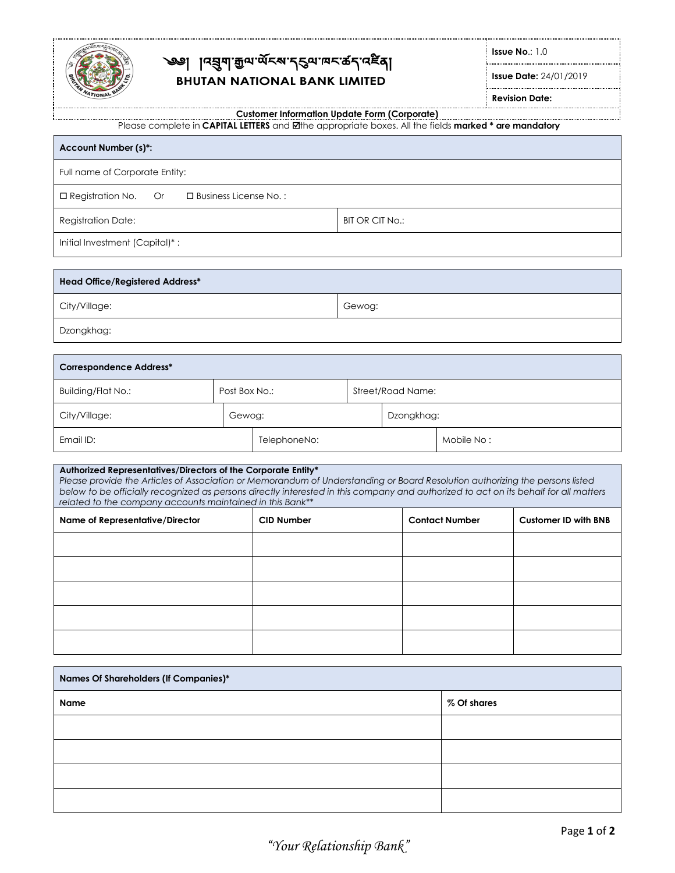

# ৩ || বর্ষ্মাক্কিত ব্রূপক্র বিদ্যালন কর্ন বা **BHUTAN NATIONAL BANK LIMITED**

**Issue No**.: 1.0

**Issue Date:** 24/01/2019

**Revision Date:**

#### **Customer Information Update Form (Corporate)**

Please complete in **CAPITAL LETTERS** and the appropriate boxes. All the fields **marked \* are mandatory**

| Account Number (s)*:                                                                                                                                                                                                                                                                                                                                                                                                                  |        |                         |                        |                   |                       |                             |  |
|---------------------------------------------------------------------------------------------------------------------------------------------------------------------------------------------------------------------------------------------------------------------------------------------------------------------------------------------------------------------------------------------------------------------------------------|--------|-------------------------|------------------------|-------------------|-----------------------|-----------------------------|--|
| Full name of Corporate Entity:                                                                                                                                                                                                                                                                                                                                                                                                        |        |                         |                        |                   |                       |                             |  |
| □ Registration No.<br><b>Or</b>                                                                                                                                                                                                                                                                                                                                                                                                       |        | □ Business License No.: |                        |                   |                       |                             |  |
| <b>Registration Date:</b>                                                                                                                                                                                                                                                                                                                                                                                                             |        |                         | <b>BIT OR CIT No.:</b> |                   |                       |                             |  |
| Initial Investment (Capital)*:                                                                                                                                                                                                                                                                                                                                                                                                        |        |                         |                        |                   |                       |                             |  |
| <b>Head Office/Registered Address*</b>                                                                                                                                                                                                                                                                                                                                                                                                |        |                         |                        |                   |                       |                             |  |
| City/Village:                                                                                                                                                                                                                                                                                                                                                                                                                         |        |                         | Gewog:                 |                   |                       |                             |  |
| Dzongkhag:                                                                                                                                                                                                                                                                                                                                                                                                                            |        |                         |                        |                   |                       |                             |  |
| <b>Correspondence Address*</b>                                                                                                                                                                                                                                                                                                                                                                                                        |        |                         |                        |                   |                       |                             |  |
| <b>Building/Flat No.:</b>                                                                                                                                                                                                                                                                                                                                                                                                             |        | Post Box No.:           |                        | Street/Road Name: |                       |                             |  |
| City/Village:                                                                                                                                                                                                                                                                                                                                                                                                                         | Gewog: |                         |                        | Dzongkhag:        |                       |                             |  |
| Email ID:<br>TelephoneNo:                                                                                                                                                                                                                                                                                                                                                                                                             |        |                         |                        | Mobile No:        |                       |                             |  |
| Authorized Representatives/Directors of the Corporate Entity*<br>Please provide the Articles of Association or Memorandum of Understanding or Board Resolution authorizing the persons listed<br>below to be officially recognized as persons directly interested in this company and authorized to act on its behalf for all matters<br>related to the company accounts maintained in this Bank**<br>Name of Representative/Director |        | <b>CID Number</b>       |                        |                   | <b>Contact Number</b> | <b>Customer ID with BNB</b> |  |
|                                                                                                                                                                                                                                                                                                                                                                                                                                       |        |                         |                        |                   |                       |                             |  |
|                                                                                                                                                                                                                                                                                                                                                                                                                                       |        |                         |                        |                   |                       |                             |  |

| Names Of Shareholders (If Companies)* |  |  |             |  |  |
|---------------------------------------|--|--|-------------|--|--|
| Name                                  |  |  | % Of shares |  |  |
|                                       |  |  |             |  |  |
|                                       |  |  |             |  |  |
|                                       |  |  |             |  |  |
|                                       |  |  |             |  |  |